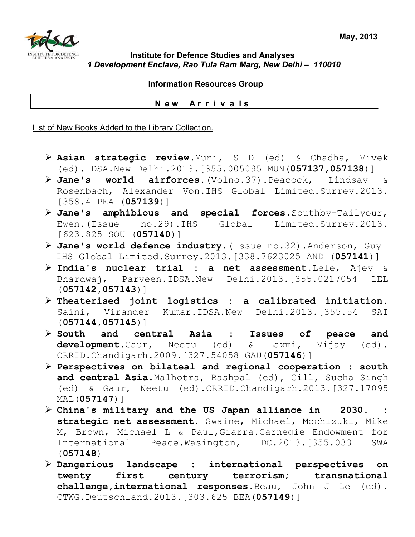

## **Institute for Defence Studies and Analyses**  *1 Development Enclave, Rao Tula Ram Marg, New Delhi – 110010*

 **Information Resources Group** 

 **N e w A r r i v a l s**

List of New Books Added to the Library Collection.

- ¾ **Asian strategic review**.Muni, S D (ed) & Chadha, Vivek (ed).IDSA.New Delhi.2013.[355.005095 MUN(**057137,057138**)]
- ¾ **Jane's world airforces**.(Volno.37).Peacock, Lindsay & Rosenbach, Alexander Von.IHS Global Limited.Surrey.2013. [358.4 PEA (**057139**)]
- ¾ **Jane's amphibious and special forces**.Southby-Tailyour, Ewen.(Issue no.29).IHS Global Limited.Surrey.2013. [623.825 SOU (**057140**)]
- ¾ **Jane's world defence industry**.(Issue no.32).Anderson, Guy IHS Global Limited.Surrey.2013.[338.7623025 AND (**057141**)]
- ¾ **India's nuclear trial : a net assessment**.Lele, Ajey & Bhardwaj, Parveen.IDSA.New Delhi.2013.[355.0217054 LEL (**057142,057143**)]
- ¾ **Theaterised joint logistics : a calibrated initiation**. Saini, Virander Kumar.IDSA.New Delhi.2013.[355.54 SAI (**057144,057145**)]
- ¾ **South and central Asia : Issues of peace and development**.Gaur, Neetu (ed) & Laxmi, Vijay (ed). CRRID.Chandigarh.2009.[327.54058 GAU(**057146**)]
- ¾ **Perspectives on bilateal and regional cooperation : south and central Asia.**Malhotra, Rashpal (ed), Gill, Sucha Singh (ed) & Gaur, Neetu (ed).CRRID.Chandigarh.2013.[327.17095 MAL(**057147**)]
- ¾ **China's military and the US Japan alliance in 2030. : strategic net assessment.** Swaine, Michael, Mochizuki, Mike M, Brown, Michael L & Paul,Giarra.Carnegie Endowment for International Peace.Wasington, DC.2013.[355.033 SWA (**057148**)
- ¾ **Dangerious landscape : international perspectives on twenty first century terrorism; transnational challenge,international responses**.Beau, John J Le (ed). CTWG.Deutschland.2013.[303.625 BEA(**057149**)]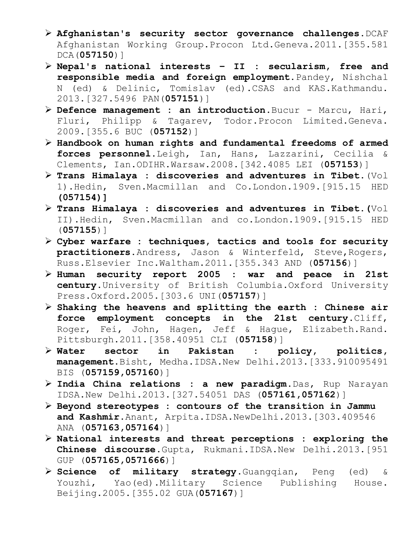- ¾ **Afghanistan's security sector governance challenges**.DCAF Afghanistan Working Group.Procon Ltd.Geneva.2011.[355.581 DCA(**057150**)]
- ¾ **Nepal's national interests II : secularism, free and responsible media and foreign employment.**Pandey, Nishchal N (ed) & Delinic, Tomislav (ed).CSAS and KAS.Kathmandu. 2013.[327.5496 PAN(**057151**)]
- ¾ **Defence management : an introduction**.Bucur Marcu, Hari, Fluri, Philipp & Tagarev, Todor.Procon Limited.Geneva. 2009.[355.6 BUC (**057152**)]
- ¾ **Handbook on human rights and fundamental freedoms of armed forces personnel**.Leigh, Ian, Hans, Lazzarini, Cecilia & Clements, Ian.ODIHR.Warsaw.2008.[342.4085 LEI (**057153**)]
- ¾ **Trans Himalaya : discoveries and adventures in Tibet**.(Vol 1).Hedin, Sven.Macmillan and Co.London.1909.[915.15 HED **(057154)]**
- ¾ **Trans Himalaya : discoveries and adventures in Tibet.(**Vol II).Hedin, Sven.Macmillan and co.London.1909.[915.15 HED (**057155**)]
- ¾ **Cyber warfare : techniques, tactics and tools for security practitioners.**Andress, Jason & Winterfeld, Steve,Rogers, Russ.Elsevier Inc.Waltham.2011.[355.343 AND (**057156**)]
- ¾ **Human security report 2005 : war and peace in 21st century.**University of British Columbia.Oxford University Press.Oxford.2005.[303.6 UNI(**057157**)]
- ¾ **Shaking the heavens and splitting the earth : Chinese air force employment concepts in the 21st century**.Cliff, Roger, Fei, John, Hagen, Jeff & Hague, Elizabeth.Rand. Pittsburgh.2011.[358.40951 CLI (**057158**)]
- ¾ **Water sector in Pakistan : policy, politics, management**.Bisht, Medha.IDSA.New Delhi.2013.[333.910095491 BIS (**057159,057160**)]
- ¾ **India China relations : a new paradigm**.Das, Rup Narayan IDSA.New Delhi.2013.[327.54051 DAS (**057161,057162**)]
- ¾ **Beyond stereotypes : contours of the transition in Jammu and Kashmir**.Anant, Arpita.IDSA.NewDelhi.2013.[303.409546 ANA (**057163,057164**)]
- ¾ **National interests and threat perceptions : exploring the Chinese discourse**.Gupta, Rukmani.IDSA.New Delhi.2013.[951 GUP (**057165,0571666**)]
- ¾ **Science of military strategy**.Guangqian, Peng (ed) & Youzhi, Yao(ed).Military Science Publishing House. Beijing.2005.[355.02 GUA(**057167**)]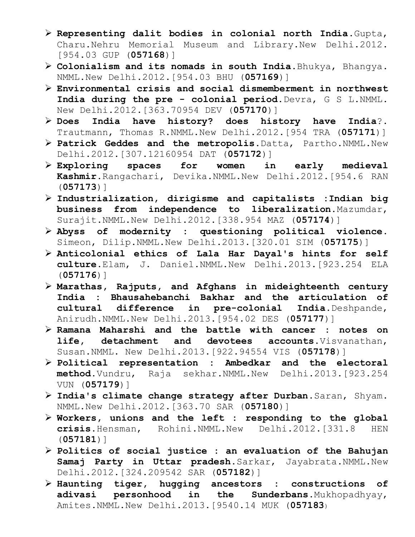- ¾ **Representing dalit bodies in colonial north India**.Gupta, Charu.Nehru Memorial Museum and Library.New Delhi.2012. [954.03 GUP (**057168**)]
- ¾ **Colonialism and its nomads in south India**.Bhukya, Bhangya. NMML.New Delhi.2012.[954.03 BHU (**057169**)]
- ¾ **Environmental crisis and social dismemberment in northwest India during the pre - colonial period.**Devra, G S L.NMML. New Delhi.2012.[363.70954 DEV (**057170**)]
- ¾ **Does India have history? does history have India**?. Trautmann, Thomas R.NMML.New Delhi.2012.[954 TRA (**057171**)]
- ¾ **Patrick Geddes and the metropolis**.Datta, Partho.NMML.New Delhi.2012.[307.12160954 DAT (**057172**)]
- ¾ **Exploring spaces for women in early medieval Kashmir.**Rangachari, Devika.NMML.New Delhi.2012.[954.6 RAN (**057173**)]
- ¾ **Industrialization, dirigisme and capitalists :Indian big business from independence to liberalization.**Mazumdar, Surajit.NMML.New Delhi.2012.[338.954 MAZ (**057174**)]
- ¾ **Abyss of modernity : questioning political violence**. Simeon, Dilip.NMML.New Delhi.2013.[320.01 SIM (**057175**)]
- ¾ **Anticolonial ethics of Lala Har Dayal's hints for self culture**.Elam, J. Daniel.NMML.New Delhi.2013.[923.254 ELA (**057176**)]
- ¾ **Marathas, Rajputs, and Afghans in mideighteenth century India : Bhausahebanchi Bakhar and the articulation of cultural difference in pre-colonial India**.Deshpande, Anirudh.NMML.New Delhi.2013.[954.02 DES (**057177**)]
- ¾ **Ramana Maharshi and the battle with cancer : notes on life, detachment and devotees accounts**.Visvanathan, Susan.NMML. New Delhi.2013.[922.94554 VIS (**057178**)]
- ¾ **Political representation : Ambedkar and the electoral method.**Vundru, Raja sekhar.NMML.New Delhi.2013.[923.254 VUN (**057179**)]
- ¾ **India's climate change strategy after Durban**.Saran, Shyam. NMML.New Delhi.2012.[363.70 SAR (**057180**)]
- ¾ **Workers, unions and the left : responding to the global crisis.**Hensman, Rohini.NMML.New Delhi.2012.[331.8 HEN (**057181**)]
- ¾ **Politics of social justice : an evaluation of the Bahujan Samaj Party in Uttar pradesh**.Sarkar, Jayabrata.NMML.New Delhi.2012.[324.209542 SAR (**057182**)]
- ¾ **Haunting tiger, hugging ancestors : constructions of adivasi personhood in the Sunderbans**.Mukhopadhyay, Amites.NMML.New Delhi.2013.[9540.14 MUK (**057183**)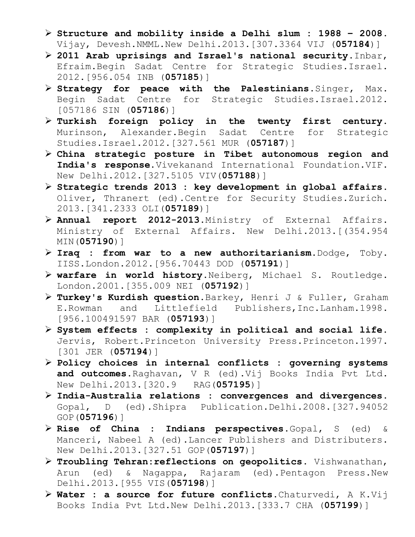- ¾ **Structure and mobility inside a Delhi slum : 1988 2008**. Vijay, Devesh.NMML.New Delhi.2013.[307.3364 VIJ (**057184**)]
- ¾ **2011 Arab uprisings and Israel's national security**.Inbar, Efraim.Begin Sadat Centre for Strategic Studies.Israel. 2012.[956.054 INB (**057185**)]
- ¾ **Strategy for peace with the Palestinians**.Singer, Max. Begin Sadat Centre for Strategic Studies.Israel.2012. [057186 SIN (**057186**)]
- ¾ **Turkish foreign policy in the twenty first century**. Murinson, Alexander.Begin Sadat Centre for Strategic Studies.Israel.2012.[327.561 MUR (**057187**)]
- ¾ **China strategic posture in Tibet autonomous region and India's response.**Vivekanand International Foundation.VIF. New Delhi.2012.[327.5105 VIV(**057188**)]
- ¾ **Strategic trends 2013 : key development in global affairs**. Oliver, Thranert (ed).Centre for Security Studies.Zurich. 2013.[341.2333 OLI(**057189**)]
- ¾ **Annual report 2012-2013**.Ministry of External Affairs. Ministry of External Affairs. New Delhi.2013.[(354.954 MIN(**057190**)]
- ¾ **Iraq : from war to a new authoritarianism**.Dodge, Toby. IISS.London.2012.[956.70443 DOD (**057191**)]
- ¾ **warfare in world history**.Neiberg, Michael S. Routledge. London.2001.[355.009 NEI (**057192**)]
- ¾ **Turkey's Kurdish question**.Barkey, Henri J & Fuller, Graham E.Rowman and Littlefield Publishers,Inc.Lanham.1998. [956.100491597 BAR (**057193**)]
- ¾ **System effects : complexity in political and social life**. Jervis, Robert.Princeton University Press.Princeton.1997. [301 JER (**057194**)]
- ¾ **Policy choices in internal conflicts : governing systems and outcomes.**Raghavan, V R (ed).Vij Books India Pvt Ltd. New Delhi.2013.[320.9 RAG(**057195**)]
- ¾ **India-Australia relations : convergences and divergences**. Gopal, D (ed).Shipra Publication.Delhi.2008.[327.94052 GOP(**057196**)]
- ¾ **Rise of China : Indians perspectives**.Gopal, S (ed) & Manceri, Nabeel A (ed).Lancer Publishers and Distributers. New Delhi.2013.[327.51 GOP(**057197**)]
- ¾ **Troubling Tehran:reflections on geopolitics**. Vishwanathan, Arun (ed) & Nagappa, Rajaram (ed).Pentagon Press.New Delhi.2013.[955 VIS(**057198**)]
- ¾ **Water : a source for future conflicts**.Chaturvedi, A K.Vij Books India Pvt Ltd.New Delhi.2013.[333.7 CHA (**057199**)]